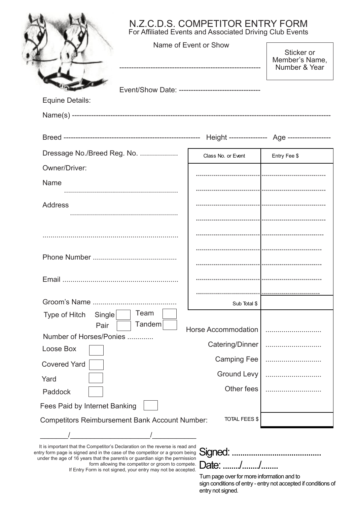|                                                   | Name of Event or Show                              | Sticker or<br>Member's Name,<br>Number & Year |
|---------------------------------------------------|----------------------------------------------------|-----------------------------------------------|
| <b>Equine Details:</b>                            | Event/Show Date: --------------------------------- |                                               |
|                                                   |                                                    |                                               |
| Dressage No./Breed Reg. No.                       | Class No. or Event                                 | Entry Fee \$                                  |
| Owner/Driver:                                     |                                                    |                                               |
| Name                                              |                                                    |                                               |
| <b>Address</b>                                    |                                                    |                                               |
|                                                   |                                                    |                                               |
|                                                   |                                                    |                                               |
|                                                   |                                                    |                                               |
|                                                   |                                                    |                                               |
| Email                                             |                                                    |                                               |
|                                                   |                                                    |                                               |
|                                                   | Sub Total \$                                       |                                               |
| Team<br>Type of Hitch<br>Single<br>Tandem<br>Pair |                                                    |                                               |
| Number of Horses/Ponies                           | <b>Horse Accommodation</b>                         |                                               |
| Loose Box                                         | Catering/Dinner                                    |                                               |
| <b>Covered Yard</b>                               | <b>Camping Fee</b>                                 |                                               |
| Yard                                              | <b>Ground Levy</b>                                 |                                               |
| Paddock                                           | Other fees                                         |                                               |
| Fees Paid by Internet Banking                     |                                                    |                                               |

It is important that the Competitor's Declaration on the reverse is read and entry form page is signed and in the case of the competitor or a groom being under the age of 16 years that the parent/s or guardian sign the permission form allowing the competitor or groom to compete. If Entry Form is not signed, your entry may not be accepted.

# Signed:.......................................... Date: ......./......./........

Turn page over for more information and to sign conditions of entry - entry not accepted if conditions of entry not signed.